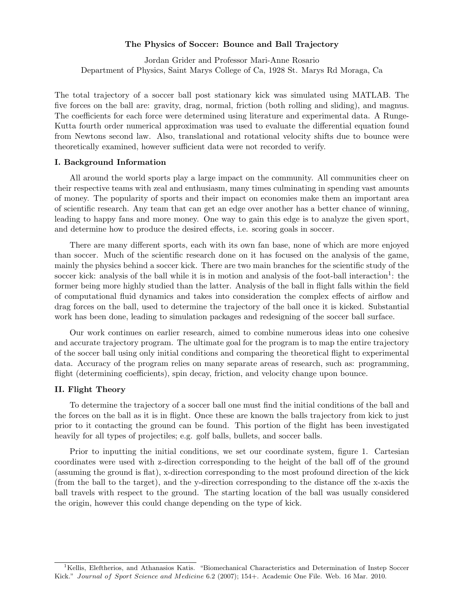# The Physics of Soccer: Bounce and Ball Trajectory

Jordan Grider and Professor Mari-Anne Rosario Department of Physics, Saint Marys College of Ca, 1928 St. Marys Rd Moraga, Ca

The total trajectory of a soccer ball post stationary kick was simulated using MATLAB. The five forces on the ball are: gravity, drag, normal, friction (both rolling and sliding), and magnus. The coefficients for each force were determined using literature and experimental data. A Runge-Kutta fourth order numerical approximation was used to evaluate the differential equation found from Newtons second law. Also, translational and rotational velocity shifts due to bounce were theoretically examined, however sufficient data were not recorded to verify.

# I. Background Information

All around the world sports play a large impact on the community. All communities cheer on their respective teams with zeal and enthusiasm, many times culminating in spending vast amounts of money. The popularity of sports and their impact on economies make them an important area of scientific research. Any team that can get an edge over another has a better chance of winning, leading to happy fans and more money. One way to gain this edge is to analyze the given sport, and determine how to produce the desired effects, i.e. scoring goals in soccer.

There are many different sports, each with its own fan base, none of which are more enjoyed than soccer. Much of the scientific research done on it has focused on the analysis of the game, mainly the physics behind a soccer kick. There are two main branches for the scientific study of the soccer kick: analysis of the ball while it is in motion and analysis of the foot-ball interaction<sup>1</sup>: the former being more highly studied than the latter. Analysis of the ball in flight falls within the field of computational fluid dynamics and takes into consideration the complex effects of airflow and drag forces on the ball, used to determine the trajectory of the ball once it is kicked. Substantial work has been done, leading to simulation packages and redesigning of the soccer ball surface.

Our work continues on earlier research, aimed to combine numerous ideas into one cohesive and accurate trajectory program. The ultimate goal for the program is to map the entire trajectory of the soccer ball using only initial conditions and comparing the theoretical flight to experimental data. Accuracy of the program relies on many separate areas of research, such as: programming, flight (determining coefficients), spin decay, friction, and velocity change upon bounce.

### II. Flight Theory

To determine the trajectory of a soccer ball one must find the initial conditions of the ball and the forces on the ball as it is in flight. Once these are known the balls trajectory from kick to just prior to it contacting the ground can be found. This portion of the flight has been investigated heavily for all types of projectiles; e.g. golf balls, bullets, and soccer balls.

Prior to inputting the initial conditions, we set our coordinate system, figure 1. Cartesian coordinates were used with z-direction corresponding to the height of the ball off of the ground (assuming the ground is flat), x-direction corresponding to the most profound direction of the kick (from the ball to the target), and the y-direction corresponding to the distance off the x-axis the ball travels with respect to the ground. The starting location of the ball was usually considered the origin, however this could change depending on the type of kick.

<sup>&</sup>lt;sup>1</sup>Kellis, Eleftherios, and Athanasios Katis. "Biomechanical Characteristics and Determination of Instep Soccer Kick." *Journal of Sport Science and Medicine* 6*.*2 (2007); 154+. Academic One File. Web. 16 Mar. 2010.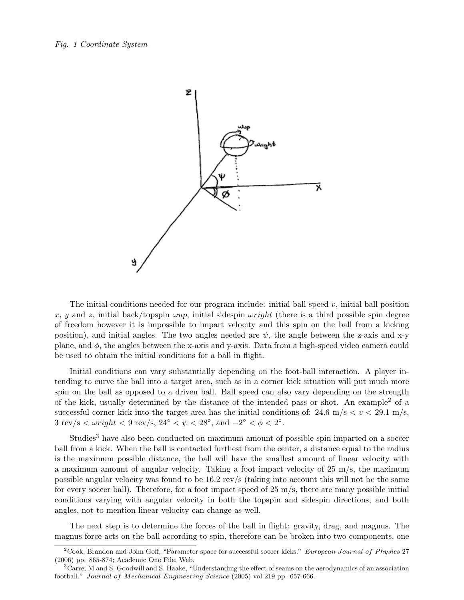

The initial conditions needed for our program include: initial ball speed  $v$ , initial ball position x, y and z, initial back/topspin  $\omega up$ , initial sidespin  $\omega right$  (there is a third possible spin degree of freedom however it is impossible to impart velocity and this spin on the ball from a kicking position), and initial angles. The two angles needed are  $\psi$ , the angle between the z-axis and x-y plane, and  $\phi$ , the angles between the x-axis and y-axis. Data from a high-speed video camera could be used to obtain the initial conditions for a ball in flight.

Initial conditions can vary substantially depending on the foot-ball interaction. A player intending to curve the ball into a target area, such as in a corner kick situation will put much more spin on the ball as opposed to a driven ball. Ball speed can also vary depending on the strength of the kick, usually determined by the distance of the intended pass or shot. An example<sup>2</sup> of a successful corner kick into the target area has the initial conditions of:  $24.6 \text{ m/s} < v < 29.1 \text{ m/s}$ ,  $3 \text{ rev/s} < \omega \text{ right} < 9 \text{ rev/s}, 24^{\circ} < \psi < 28^{\circ}, \text{ and } -2^{\circ} < \phi < 2^{\circ}.$ 

Studies<sup>3</sup> have also been conducted on maximum amount of possible spin imparted on a soccer ball from a kick. When the ball is contacted furthest from the center, a distance equal to the radius is the maximum possible distance, the ball will have the smallest amount of linear velocity with a maximum amount of angular velocity. Taking a foot impact velocity of 25 m/s, the maximum possible angular velocity was found to be 16.2 rev/s (taking into account this will not be the same for every soccer ball). Therefore, for a foot impact speed of  $25 \text{ m/s}$ , there are many possible initial conditions varying with angular velocity in both the topspin and sidespin directions, and both angles, not to mention linear velocity can change as well.

The next step is to determine the forces of the ball in flight: gravity, drag, and magnus. The magnus force acts on the ball according to spin, therefore can be broken into two components, one

<sup>2</sup>Cook, Brandon and John Goff, "Parameter space for successful soccer kicks." *European Journal of Physics* 27 (2006) pp. 865-874; Academic One File, Web.

 $3$ Carre, M and S. Goodwill and S. Haake, "Understanding the effect of seams on the aerodynamics of an association football." *Journal of Mechanical Engineering Science* (2005) vol 219 pp. 657-666.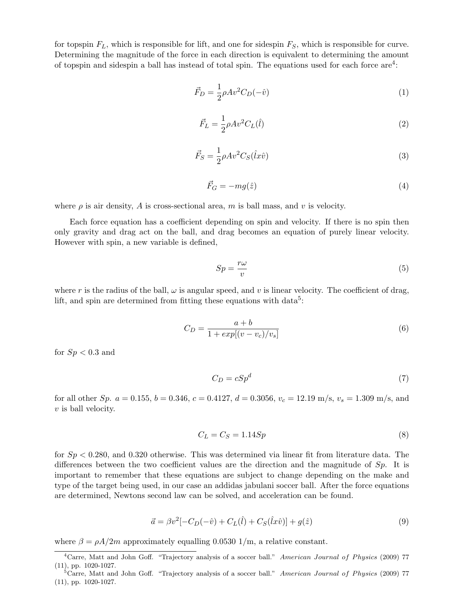for topspin F*L*, which is responsible for lift, and one for sidespin F*S*, which is responsible for curve. Determining the magnitude of the force in each direction is equivalent to determining the amount of topspin and sidespin a ball has instead of total spin. The equations used for each force are4:

$$
\vec{F}_D = \frac{1}{2}\rho A v^2 C_D(-\hat{v})\tag{1}
$$

$$
\vec{F}_L = \frac{1}{2} \rho A v^2 C_L(\hat{l}) \tag{2}
$$

$$
\vec{F}_S = \frac{1}{2} \rho A v^2 C_S (\hat{l} x \hat{v}) \tag{3}
$$

$$
\vec{F}_G = -mg(\hat{z})\tag{4}
$$

where  $\rho$  is air density, A is cross-sectional area, m is ball mass, and v is velocity.

Each force equation has a coefficient depending on spin and velocity. If there is no spin then only gravity and drag act on the ball, and drag becomes an equation of purely linear velocity. However with spin, a new variable is defined,

$$
Sp = \frac{r\omega}{v} \tag{5}
$$

where r is the radius of the ball,  $\omega$  is angular speed, and v is linear velocity. The coefficient of drag, lift, and spin are determined from fitting these equations with  $data^5$ :

$$
C_D = \frac{a+b}{1 + exp[(v - v_c)/v_s]}
$$
 (6)

for  $Sp < 0.3$  and

$$
C_D = cSp^d \tag{7}
$$

for all other Sp.  $a = 0.155$ ,  $b = 0.346$ ,  $c = 0.4127$ ,  $d = 0.3056$ ,  $v_c = 12.19$  m/s,  $v_s = 1.309$  m/s, and  $v$  is ball velocity.

$$
C_L = C_S = 1.14 Sp \tag{8}
$$

for  $Sp < 0.280$ , and 0.320 otherwise. This was determined via linear fit from literature data. The differences between the two coefficient values are the direction and the magnitude of  $Sp$ . It is important to remember that these equations are subject to change depending on the make and type of the target being used, in our case an addidas jabulani soccer ball. After the force equations are determined, Newtons second law can be solved, and acceleration can be found.

$$
\vec{a} = \beta v^2 [-C_D(-\hat{v}) + C_L(\hat{l}) + C_S(\hat{l}x\hat{v})] + g(\hat{z})
$$
\n(9)

where  $\beta = \rho A/2m$  approximately equalling 0.0530 1/m, a relative constant.

<sup>4</sup>Carre, Matt and John Goff. "Trajectory analysis of a soccer ball." *American Journal of Physics* (2009) 77 (11), pp. 1020-1027.

<sup>5</sup>Carre, Matt and John Goff. "Trajectory analysis of a soccer ball." *American Journal of Physics* (2009) 77 (11), pp. 1020-1027.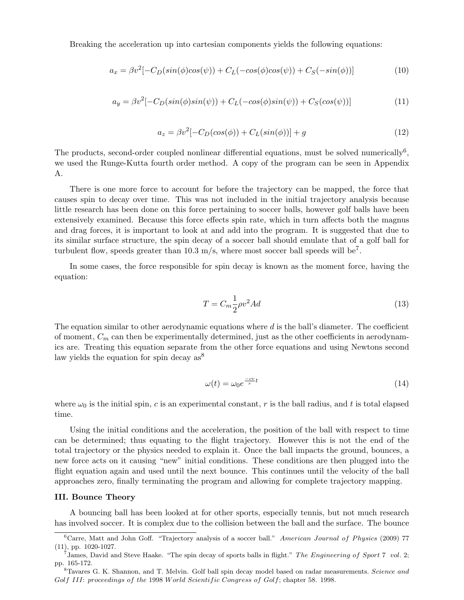Breaking the acceleration up into cartesian components yields the following equations:

$$
a_x = \beta v^2 [-C_D(\sin(\phi)\cos(\psi)) + C_L(-\cos(\phi)\cos(\psi)) + C_S(-\sin(\phi))]
$$
\n(10)

$$
a_y = \beta v^2 [-C_D(\sin(\phi)\sin(\psi)) + C_L(-\cos(\phi)\sin(\psi)) + C_S(\cos(\psi))]
$$
\n(11)

$$
a_z = \beta v^2 [-C_D(\cos(\phi)) + C_L(\sin(\phi))] + g \tag{12}
$$

The products, second-order coupled nonlinear differential equations, must be solved numerically<sup>6</sup>, we used the Runge-Kutta fourth order method. A copy of the program can be seen in Appendix A.

There is one more force to account for before the trajectory can be mapped, the force that causes spin to decay over time. This was not included in the initial trajectory analysis because little research has been done on this force pertaining to soccer balls, however golf balls have been extensively examined. Because this force effects spin rate, which in turn affects both the magnus and drag forces, it is important to look at and add into the program. It is suggested that due to its similar surface structure, the spin decay of a soccer ball should emulate that of a golf ball for turbulent flow, speeds greater than  $10.3$  m/s, where most soccer ball speeds will be<sup>7</sup>.

In some cases, the force responsible for spin decay is known as the moment force, having the equation:

$$
T = C_m \frac{1}{2} \rho v^2 A d \tag{13}
$$

The equation similar to other aerodynamic equations where  $d$  is the ball's diameter. The coefficient of moment, C*<sup>m</sup>* can then be experimentally determined, just as the other coefficients in aerodynamics are. Treating this equation separate from the other force equations and using Newtons second law yields the equation for spin decay  $as^8$ 

$$
\omega(t) = \omega_0 e^{\frac{-cv}{r}t} \tag{14}
$$

where  $\omega_0$  is the initial spin, c is an experimental constant, r is the ball radius, and t is total elapsed time.

Using the initial conditions and the acceleration, the position of the ball with respect to time can be determined; thus equating to the flight trajectory. However this is not the end of the total trajectory or the physics needed to explain it. Once the ball impacts the ground, bounces, a new force acts on it causing "new" initial conditions. These conditions are then plugged into the flight equation again and used until the next bounce. This continues until the velocity of the ball approaches zero, finally terminating the program and allowing for complete trajectory mapping.

#### III. Bounce Theory

A bouncing ball has been looked at for other sports, especially tennis, but not much research has involved soccer. It is complex due to the collision between the ball and the surface. The bounce

<sup>6</sup>Carre, Matt and John Goff. "Trajectory analysis of a soccer ball." *American Journal of Physics* (2009) 77 (11), pp. 1020-1027.

<sup>7</sup>James, David and Steve Haake. "The spin decay of sports balls in flight." *The Engineering of Sport* 7 *vol.* 2; pp. 165-172.

<sup>8</sup>Tavares G. K. Shannon, and T. Melvin. Golf ball spin decay model based on radar measurements. *Science and Golf III*: *proceedings of the* 1998 *World Scientific Congress of Golf*; chapter 58. 1998.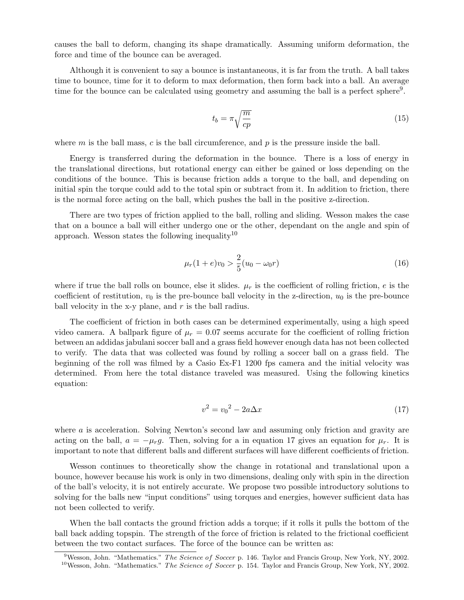causes the ball to deform, changing its shape dramatically. Assuming uniform deformation, the force and time of the bounce can be averaged.

Although it is convenient to say a bounce is instantaneous, it is far from the truth. A ball takes time to bounce, time for it to deform to max deformation, then form back into a ball. An average time for the bounce can be calculated using geometry and assuming the ball is a perfect sphere<sup>9</sup>.

$$
t_b = \pi \sqrt{\frac{m}{cp}}\tag{15}
$$

where  $m$  is the ball mass,  $c$  is the ball circumference, and  $p$  is the pressure inside the ball.

Energy is transferred during the deformation in the bounce. There is a loss of energy in the translational directions, but rotational energy can either be gained or loss depending on the conditions of the bounce. This is because friction adds a torque to the ball, and depending on initial spin the torque could add to the total spin or subtract from it. In addition to friction, there is the normal force acting on the ball, which pushes the ball in the positive z-direction.

There are two types of friction applied to the ball, rolling and sliding. Wesson makes the case that on a bounce a ball will either undergo one or the other, dependant on the angle and spin of approach. Wesson states the following inequality<sup>10</sup>

$$
\mu_r(1+e)v_0 > \frac{2}{5}(u_0 - \omega_0 r) \tag{16}
$$

where if true the ball rolls on bounce, else it slides.  $\mu_r$  is the coefficient of rolling friction, e is the coefficient of restitution,  $v_0$  is the pre-bounce ball velocity in the z-direction,  $u_0$  is the pre-bounce ball velocity in the x-y plane, and  $r$  is the ball radius.

The coefficient of friction in both cases can be determined experimentally, using a high speed video camera. A ballpark figure of  $\mu_r = 0.07$  seems accurate for the coefficient of rolling friction between an addidas jabulani soccer ball and a grass field however enough data has not been collected to verify. The data that was collected was found by rolling a soccer ball on a grass field. The beginning of the roll was filmed by a Casio Ex-F1 1200 fps camera and the initial velocity was determined. From here the total distance traveled was measured. Using the following kinetics equation:

$$
v^2 = v_0^2 - 2a\Delta x\tag{17}
$$

where a is acceleration. Solving Newton's second law and assuming only friction and gravity are acting on the ball,  $a = -\mu_{r}g$ . Then, solving for a in equation 17 gives an equation for  $\mu_{r}$ . It is important to note that different balls and different surfaces will have different coefficients of friction.

Wesson continues to theoretically show the change in rotational and translational upon a bounce, however because his work is only in two dimensions, dealing only with spin in the direction of the ball's velocity, it is not entirely accurate. We propose two possible introductory solutions to solving for the balls new "input conditions" using torques and energies, however sufficient data has not been collected to verify.

When the ball contacts the ground friction adds a torque; if it rolls it pulls the bottom of the ball back adding topspin. The strength of the force of friction is related to the frictional coefficient between the two contact surfaces. The force of the bounce can be written as:

<sup>9</sup>Wesson, John. "Mathematics." *The Science of Soccer* p. 146. Taylor and Francis Group, New York, NY, 2002. <sup>10</sup>Wesson, John. "Mathematics." *The Science of Soccer* p. 154. Taylor and Francis Group, New York, NY, 2002.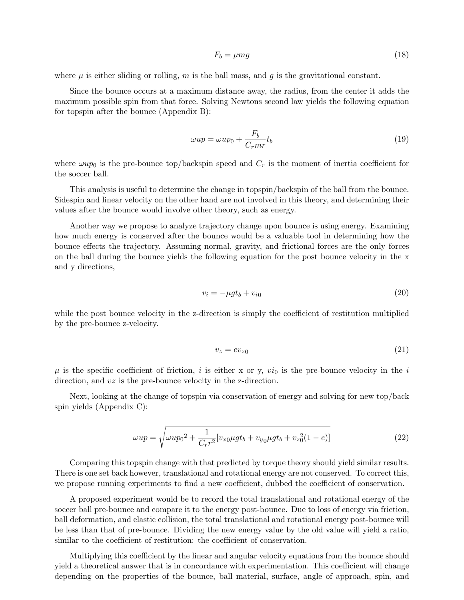$$
F_b = \mu mg \tag{18}
$$

where  $\mu$  is either sliding or rolling, m is the ball mass, and q is the gravitational constant.

Since the bounce occurs at a maximum distance away, the radius, from the center it adds the maximum possible spin from that force. Solving Newtons second law yields the following equation for topspin after the bounce (Appendix B):

$$
\omega up = \omega up_0 + \frac{F_b}{C_r m r} t_b \tag{19}
$$

where  $\omega up_0$  is the pre-bounce top/backspin speed and  $C_r$  is the moment of inertia coefficient for the soccer ball.

This analysis is useful to determine the change in topspin/backspin of the ball from the bounce. Sidespin and linear velocity on the other hand are not involved in this theory, and determining their values after the bounce would involve other theory, such as energy.

Another way we propose to analyze trajectory change upon bounce is using energy. Examining how much energy is conserved after the bounce would be a valuable tool in determining how the bounce effects the trajectory. Assuming normal, gravity, and frictional forces are the only forces on the ball during the bounce yields the following equation for the post bounce velocity in the x and y directions,

$$
v_i = -\mu g t_b + v_{i0} \tag{20}
$$

while the post bounce velocity in the z-direction is simply the coefficient of restitution multiplied by the pre-bounce z-velocity.

$$
v_z = ev_{z0} \tag{21}
$$

 $\mu$  is the specific coefficient of friction, i is either x or y,  $vi_0$  is the pre-bounce velocity in the i direction, and  $v\bar{z}$  is the pre-bounce velocity in the z-direction.

Next, looking at the change of topspin via conservation of energy and solving for new top/back spin yields (Appendix C):

$$
\omega up = \sqrt{\omega up_0^2 + \frac{1}{C_r r^2} [v_{x0} \mu g t_b + v_{y0} \mu g t_b + v_{z0}^2 (1 - e)]}
$$
\n(22)

Comparing this topspin change with that predicted by torque theory should yield similar results. There is one set back however, translational and rotational energy are not conserved. To correct this, we propose running experiments to find a new coefficient, dubbed the coefficient of conservation.

A proposed experiment would be to record the total translational and rotational energy of the soccer ball pre-bounce and compare it to the energy post-bounce. Due to loss of energy via friction, ball deformation, and elastic collision, the total translational and rotational energy post-bounce will be less than that of pre-bounce. Dividing the new energy value by the old value will yield a ratio, similar to the coefficient of restitution: the coefficient of conservation.

Multiplying this coefficient by the linear and angular velocity equations from the bounce should yield a theoretical answer that is in concordance with experimentation. This coefficient will change depending on the properties of the bounce, ball material, surface, angle of approach, spin, and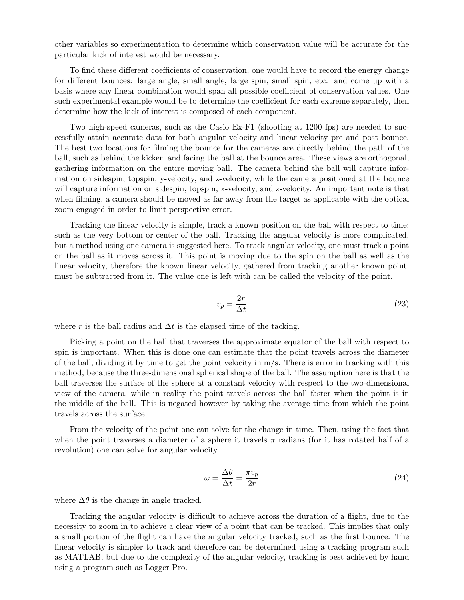other variables so experimentation to determine which conservation value will be accurate for the particular kick of interest would be necessary.

To find these different coefficients of conservation, one would have to record the energy change for different bounces: large angle, small angle, large spin, small spin, etc. and come up with a basis where any linear combination would span all possible coefficient of conservation values. One such experimental example would be to determine the coefficient for each extreme separately, then determine how the kick of interest is composed of each component.

Two high-speed cameras, such as the Casio Ex-F1 (shooting at 1200 fps) are needed to successfully attain accurate data for both angular velocity and linear velocity pre and post bounce. The best two locations for filming the bounce for the cameras are directly behind the path of the ball, such as behind the kicker, and facing the ball at the bounce area. These views are orthogonal, gathering information on the entire moving ball. The camera behind the ball will capture information on sidespin, topspin, y-velocity, and z-velocity, while the camera positioned at the bounce will capture information on sidespin, topspin, x-velocity, and z-velocity. An important note is that when filming, a camera should be moved as far away from the target as applicable with the optical zoom engaged in order to limit perspective error.

Tracking the linear velocity is simple, track a known position on the ball with respect to time: such as the very bottom or center of the ball. Tracking the angular velocity is more complicated, but a method using one camera is suggested here. To track angular velocity, one must track a point on the ball as it moves across it. This point is moving due to the spin on the ball as well as the linear velocity, therefore the known linear velocity, gathered from tracking another known point, must be subtracted from it. The value one is left with can be called the velocity of the point,

$$
v_p = \frac{2r}{\Delta t} \tag{23}
$$

where r is the ball radius and  $\Delta t$  is the elapsed time of the tacking.

Picking a point on the ball that traverses the approximate equator of the ball with respect to spin is important. When this is done one can estimate that the point travels across the diameter of the ball, dividing it by time to get the point velocity in  $m/s$ . There is error in tracking with this method, because the three-dimensional spherical shape of the ball. The assumption here is that the ball traverses the surface of the sphere at a constant velocity with respect to the two-dimensional view of the camera, while in reality the point travels across the ball faster when the point is in the middle of the ball. This is negated however by taking the average time from which the point travels across the surface.

From the velocity of the point one can solve for the change in time. Then, using the fact that when the point traverses a diameter of a sphere it travels  $\pi$  radians (for it has rotated half of a revolution) one can solve for angular velocity.

$$
\omega = \frac{\Delta\theta}{\Delta t} = \frac{\pi v_p}{2r} \tag{24}
$$

where  $\Delta\theta$  is the change in angle tracked.

Tracking the angular velocity is difficult to achieve across the duration of a flight, due to the necessity to zoom in to achieve a clear view of a point that can be tracked. This implies that only a small portion of the flight can have the angular velocity tracked, such as the first bounce. The linear velocity is simpler to track and therefore can be determined using a tracking program such as MATLAB, but due to the complexity of the angular velocity, tracking is best achieved by hand using a program such as Logger Pro.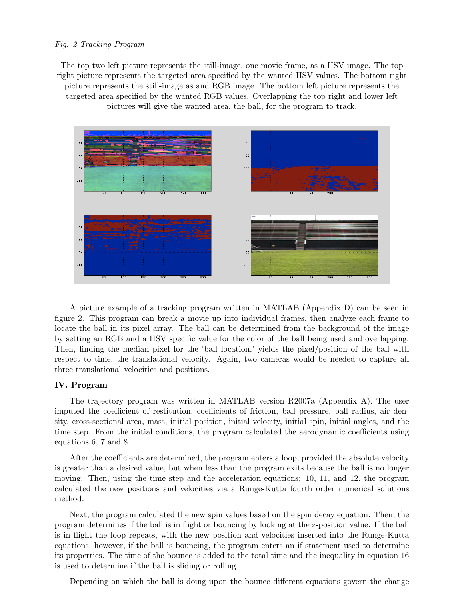## *Fig. 2 Tracking Program*

The top two left picture represents the still-image, one movie frame, as a HSV image. The top right picture represents the targeted area specified by the wanted HSV values. The bottom right picture represents the still-image as and RGB image. The bottom left picture represents the targeted area specified by the wanted RGB values. Overlapping the top right and lower left pictures will give the wanted area, the ball, for the program to track.



A picture example of a tracking program written in MATLAB (Appendix D) can be seen in figure 2. This program can break a movie up into individual frames, then analyze each frame to locate the ball in its pixel array. The ball can be determined from the background of the image by setting an RGB and a HSV specific value for the color of the ball being used and overlapping. Then, finding the median pixel for the 'ball location,' yields the pixel/position of the ball with respect to time, the translational velocity. Again, two cameras would be needed to capture all three translational velocities and positions.

# IV. Program

The trajectory program was written in MATLAB version R2007a (Appendix A). The user imputed the coefficient of restitution, coefficients of friction, ball pressure, ball radius, air density, cross-sectional area, mass, initial position, initial velocity, initial spin, initial angles, and the time step. From the initial conditions, the program calculated the aerodynamic coefficients using equations 6, 7 and 8.

After the coefficients are determined, the program enters a loop, provided the absolute velocity is greater than a desired value, but when less than the program exits because the ball is no longer moving. Then, using the time step and the acceleration equations: 10, 11, and 12, the program calculated the new positions and velocities via a Runge-Kutta fourth order numerical solutions method.

Next, the program calculated the new spin values based on the spin decay equation. Then, the program determines if the ball is in flight or bouncing by looking at the z-position value. If the ball is in flight the loop repeats, with the new position and velocities inserted into the Runge-Kutta equations, however, if the ball is bouncing, the program enters an if statement used to determine its properties. The time of the bounce is added to the total time and the inequality in equation 16 is used to determine if the ball is sliding or rolling.

Depending on which the ball is doing upon the bounce different equations govern the change